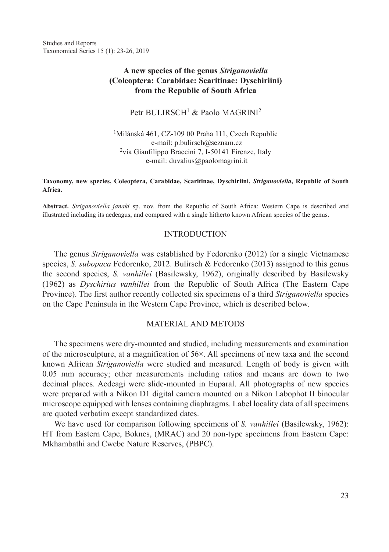Studies and Reports Taxonomical Series 15 (1): 23-26, 2019

# **A new species of the genus** *Striganoviella*  **(Coleoptera: Carabidae: Scaritinae: Dyschiriini) from the Republic of South Africa**

Petr BULIRSCH<sup>1</sup> & Paolo MAGRINI<sup>2</sup>

1Milánská 461, CZ-109 00 Praha 111, Czech Republic e-mail: p.bulirsch@seznam.cz 2via Gianfilippo Braccini 7, I-50141 Firenze, Italy e-mail: duvalius@paolomagrini.it

#### **Taxonomy, new species, Coleoptera, Carabidae, Scaritinae, Dyschiriini,** *Striganoviella***, Republic of South Africa.**

**Abstract.** *Striganoviella janaki* sp. nov. from the Republic of South Africa: Western Cape is described and illustrated including its aedeagus, and compared with a single hitherto known African species of the genus.

### **INTRODUCTION**

The genus *Striganoviella* was established by Fedorenko (2012) for a single Vietnamese species, *S. subopaca* Fedorenko, 2012. Bulirsch & Fedorenko (2013) assigned to this genus the second species, *S. vanhillei* (Basilewsky, 1962), originally described by Basilewsky (1962) as *Dyschirius vanhillei* from the Republic of South Africa (The Eastern Cape Province). The first author recently collected six specimens of a third *Striganoviella* species on the Cape Peninsula in the Western Cape Province, which is described below.

## MATERIAL AND METODS

The specimens were dry-mounted and studied, including measurements and examination of the microsculpture, at a magnification of  $56\times$ . All specimens of new taxa and the second known African *Striganoviella* were studied and measured. Length of body is given with 0.05 mm accuracy; other measurements including ratios and means are down to two decimal places. Aedeagi were slide-mounted in Euparal. All photographs of new species were prepared with a Nikon D1 digital camera mounted on a Nikon Labophot II binocular microscope equipped with lenses containing diaphragms. Label locality data of all specimens are quoted verbatim except standardized dates.

We have used for comparison following specimens of *S. vanhillei* (Basilewsky, 1962): HT from Eastern Cape, Boknes, (MRAC) and 20 non-type specimens from Eastern Cape: Mkhambathi and Cwebe Nature Reserves, (PBPC).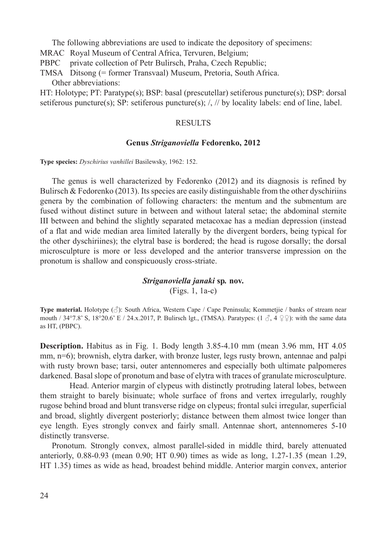The following abbreviations are used to indicate the depository of specimens:

MRAC Royal Museum of Central Africa, Tervuren, Belgium;

PBPC private collection of Petr Bulirsch, Praha, Czech Republic;

TMSA Ditsong (= former Transvaal) Museum, Pretoria, South Africa. Other abbreviations:

HT: Holotype; PT: Paratype(s); BSP: basal (prescutellar) setiferous puncture(s); DSP: dorsal setiferous puncture(s); SP: setiferous puncture(s);  $/$ ,  $//$  by locality labels: end of line, label.

#### **RESULTS**

#### **Genus** *Striganoviella* **Fedorenko, 2012**

**Type species:** *Dyschirius vanhillei* Basilewsky, 1962: 152.

The genus is well characterized by Fedorenko (2012) and its diagnosis is refined by Bulirsch  $&$  Fedorenko (2013). Its species are easily distinguishable from the other dyschiriins genera by the combination of following characters: the mentum and the submentum are fused without distinct suture in between and without lateral setae; the abdominal sternite III between and behind the slightly separated metacoxae has a median depression (instead of a flat and wide median area limited laterally by the divergent borders, being typical for the other dyschiriines); the elytral base is bordered; the head is rugose dorsally; the dorsal microsculpture is more or less developed and the anterior transverse impression on the pronotum is shallow and conspicuously cross-striate.

### *Striganoviella janaki* **sp***.* **nov.**

(Figs. 1, 1a-c)

**Type material.** Holotype (♂): South Africa, Western Cape / Cape Peninsula; Kommetjie / banks of stream near mouth / 34°7.8' S, 18°20.6' E / 24.x.2017, P. Bulirsch lgt., (TMSA). Paratypes: (1  $\beta$ , 4  $\varphi$ \mush): with the same data as HT, (PBPC).

**Description.** Habitus as in Fig. 1. Body length 3.85-4.10 mm (mean 3.96 mm, HT 4.05 mm, n=6); brownish, elytra darker, with bronze luster, legs rusty brown, antennae and palpi with rusty brown base; tarsi, outer antennomeres and especially both ultimate palpomeres darkened. Basal slope of pronotum and base of elytra with traces of granulate microsculpture.

Head. Anterior margin of clypeus with distinctly protruding lateral lobes, between them straight to barely bisinuate; whole surface of frons and vertex irregularly, roughly rugose behind broad and blunt transverse ridge on clypeus; frontal sulci irregular, superficial and broad, slightly divergent posteriorly; distance between them almost twice longer than eye length. Eyes strongly convex and fairly small. Antennae short, antennomeres 5-10 distinctly transverse.

Pronotum. Strongly convex, almost parallel-sided in middle third, barely attenuated anteriorly, 0.88-0.93 (mean 0.90; HT 0.90) times as wide as long, 1.27-1.35 (mean 1.29, HT 1.35) times as wide as head, broadest behind middle. Anterior margin convex, anterior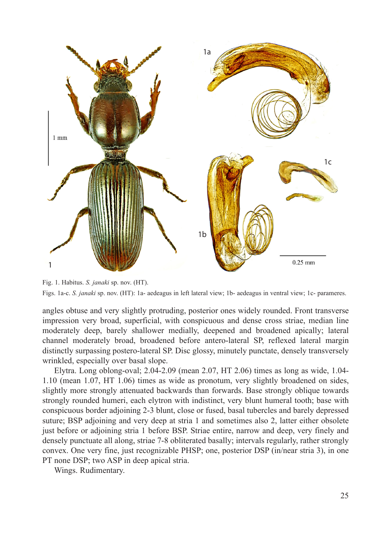

Fig. 1. Habitus. *S. janaki* sp. nov. (HT). Figs. 1a-c. *S. janaki* sp. nov. (HT): 1a- aedeagus in left lateral view; 1b- aedeagus in ventral view; 1c- parameres.

angles obtuse and very slightly protruding, posterior ones widely rounded. Front transverse impression very broad, superficial, with conspicuous and dense cross striae, median line moderately deep, barely shallower medially, deepened and broadened apically; lateral channel moderately broad, broadened before antero-lateral SP, reflexed lateral margin distinctly surpassing postero-lateral SP. Disc glossy, minutely punctate, densely transversely wrinkled, especially over basal slope.

Elytra. Long oblong-oval;  $2.04-2.09$  (mean  $2.07$ , HT  $2.06$ ) times as long as wide,  $1.04-$ 1.10 (mean 1.07, HT 1.06) times as wide as pronotum, very slightly broadened on sides, slightly more strongly attenuated backwards than forwards. Base strongly oblique towards strongly rounded humeri, each elytron with indistinct, very blunt humeral tooth; base with conspicuous border adjoining 2-3 blunt, close or fused, basal tubercles and barely depressed suture; BSP adjoining and very deep at stria 1 and sometimes also 2, latter either obsolete just before or adjoining stria 1 before BSP. Striae entire, narrow and deep, very finely and densely punctuate all along, striae 7-8 obliterated basally; intervals regularly, rather strongly convex. One very fine, just recognizable PHSP; one, posterior DSP (in/near stria 3), in one PT none DSP; two ASP in deep apical stria.

Wings. Rudimentary.